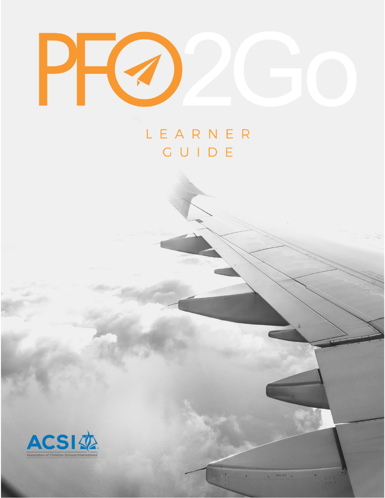

# LEARNER **CUIDE**



. SAIAT .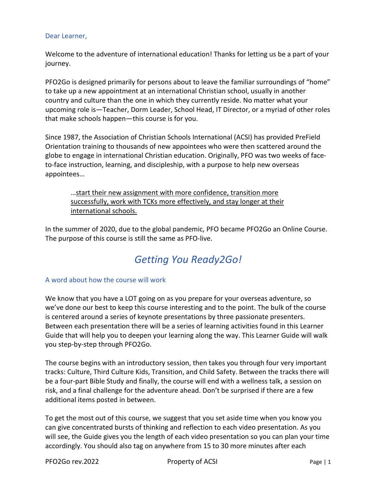#### Dear Learner,

Welcome to the adventure of international education! Thanks for letting us be a part of your journey.

PFO2Go is designed primarily for persons about to leave the familiar surroundings of "home" to take up a new appointment at an international Christian school, usually in another country and culture than the one in which they currently reside. No matter what your upcoming role is―Teacher, Dorm Leader, School Head, IT Director, or a myriad of other roles that make schools happen―this course is for you.

Since 1987, the Association of Christian Schools International (ACSI) has provided PreField Orientation training to thousands of new appointees who were then scattered around the globe to engage in international Christian education. Originally, PFO was two weeks of faceto-face instruction, learning, and discipleship, with a purpose to help new overseas appointees…

…start their new assignment with more confidence, transition more successfully, work with TCKs more effectively, and stay longer at their international schools.

In the summer of 2020, due to the global pandemic, PFO became PFO2Go an Online Course. The purpose of this course is still the same as PFO-live.

## *Getting You Ready2Go!*

#### A word about how the course will work

We know that you have a LOT going on as you prepare for your overseas adventure, so we've done our best to keep this course interesting and to the point. The bulk of the course is centered around a series of keynote presentations by three passionate presenters. Between each presentation there will be a series of learning activities found in this Learner Guide that will help you to deepen your learning along the way. This Learner Guide will walk you step-by-step through PFO2Go.

The course begins with an introductory session, then takes you through four very important tracks: Culture, Third Culture Kids, Transition, and Child Safety. Between the tracks there will be a four-part Bible Study and finally, the course will end with a wellness talk, a session on risk, and a final challenge for the adventure ahead. Don't be surprised if there are a few additional items posted in between.

To get the most out of this course, we suggest that you set aside time when you know you can give concentrated bursts of thinking and reflection to each video presentation. As you will see, the Guide gives you the length of each video presentation so you can plan your time accordingly. You should also tag on anywhere from 15 to 30 more minutes after each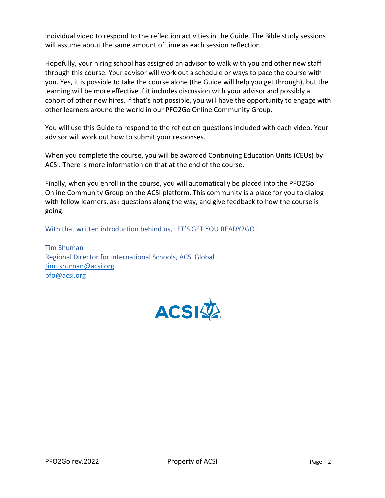individual video to respond to the reflection activities in the Guide. The Bible study sessions will assume about the same amount of time as each session reflection.

Hopefully, your hiring school has assigned an advisor to walk with you and other new staff through this course. Your advisor will work out a schedule or ways to pace the course with you. Yes, it is possible to take the course alone (the Guide will help you get through), but the learning will be more effective if it includes discussion with your advisor and possibly a cohort of other new hires. If that's not possible, you will have the opportunity to engage with other learners around the world in our PFO2Go Online Community Group.

You will use this Guide to respond to the reflection questions included with each video. Your advisor will work out how to submit your responses.

When you complete the course, you will be awarded Continuing Education Units (CEUs) by ACSI. There is more information on that at the end of the course.

Finally, when you enroll in the course, you will automatically be placed into the PFO2Go Online Community Group on the ACSI platform. This community is a place for you to dialog with fellow learners, ask questions along the way, and give feedback to how the course is going.

With that written introduction behind us, LET'S GET YOU READY2GO!

Tim Shuman Regional Director for International Schools, ACSI Global [tim\\_shuman@acsi.org](mailto:tim_shuman@acsi.org) [pfo@acsi.org](mailto:pfo@acsi.org) 

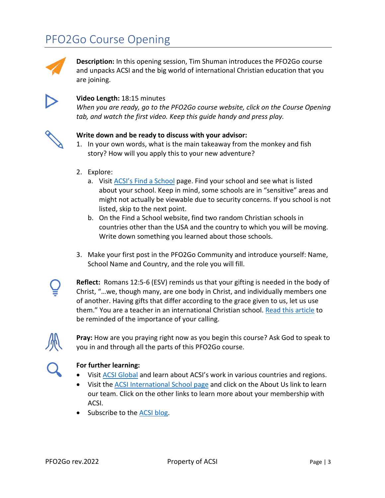# PFO2Go Course Opening



**Description:** In this opening session, Tim Shuman introduces the PFO2Go course and unpacks ACSI and the big world of international Christian education that you are joining.



#### **Video Length:** 18:15 minutes

*When you are ready, go to the PFO2Go course website, click on the Course Opening tab, and watch the first video. Keep this guide handy and press play.* 



#### **Write down and be ready to discuss with your advisor:**

- 1. In your own words, what is the main takeaway from the monkey and fish story? How will you apply this to your new adventure?
- 2. Explore:
	- a. Visit [ACSI's Find a School](https://www.acsi.org/member-search/index) page. Find your school and see what is listed about your school. Keep in mind, some schools are in "sensitive" areas and might not actually be viewable due to security concerns. If you school is not listed, skip to the next point.
	- b. On the Find a School website, find two random Christian schools in countries other than the USA and the country to which you will be moving. Write down something you learned about those schools.
- 3. Make your first post in the PFO2Go Community and introduce yourself: Name, School Name and Country, and the role you will fill.



**Reflect:** Romans 12:5-6 (ESV) reminds us that your gifting is needed in the body of Christ, "…we, though many, are one body in Christ, and individually members one of another. Having gifts that differ according to the grace given to us, let us use them." You are a teacher in an international Christian school. [Read this article](https://www.alifeoverseas.com/in-defense-of-second-class-missionaries/) to be reminded of the importance of your calling.



**Pray:** How are you praying right now as you begin this course? Ask God to speak to you in and through all the parts of this PFO2Go course.



- Visit [ACSI Global](https://community.acsi.org/global/global-offices/global-offices-home) and learn about ACSI's work in various countries and regions.
- Visit the [ACSI International School page](https://community.acsi.org/global/international) and click on the About Us link to learn our team. Click on the other links to learn more about your membership with ACSI.
- Subscribe to the [ACSI blog.](https://blog.acsi.org/)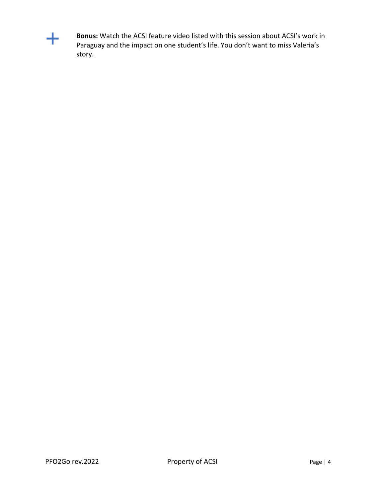

**Bonus:** Watch the ACSI feature video listed with this session about ACSI's work in Paraguay and the impact on one student's life. You don't want to miss Valeria's story.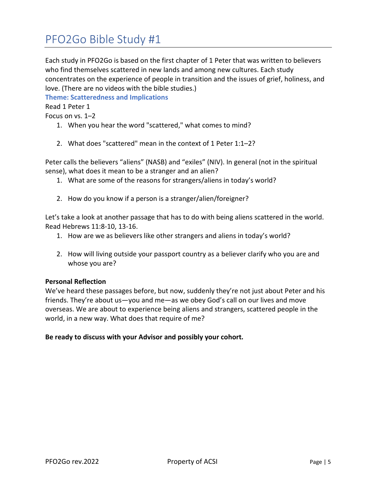# PFO2Go Bible Study #1

Each study in PFO2Go is based on the first chapter of 1 Peter that was written to believers who find themselves scattered in new lands and among new cultures. Each study concentrates on the experience of people in transition and the issues of grief, holiness, and love. (There are no videos with the bible studies.)

**Theme: Scatteredness and Implications**

Read 1 Peter 1

Focus on vs. 1–2

- 1. When you hear the word "scattered," what comes to mind?
- 2. What does "scattered" mean in the context of 1 Peter 1:1–2?

Peter calls the believers "aliens" (NASB) and "exiles" (NIV). In general (not in the spiritual sense), what does it mean to be a stranger and an alien?

- 1. What are some of the reasons for strangers/aliens in today's world?
- 2. How do you know if a person is a stranger/alien/foreigner?

Let's take a look at another passage that has to do with being aliens scattered in the world. Read Hebrews 11:8-10, 13-16.

- 1. How are we as believers like other strangers and aliens in today's world?
- 2. How will living outside your passport country as a believer clarify who you are and whose you are?

#### **Personal Reflection**

We've heard these passages before, but now, suddenly they're not just about Peter and his friends. They're about us―you and me―as we obey God's call on our lives and move overseas. We are about to experience being aliens and strangers, scattered people in the world, in a new way. What does that require of me?

#### **Be ready to discuss with your Advisor and possibly your cohort.**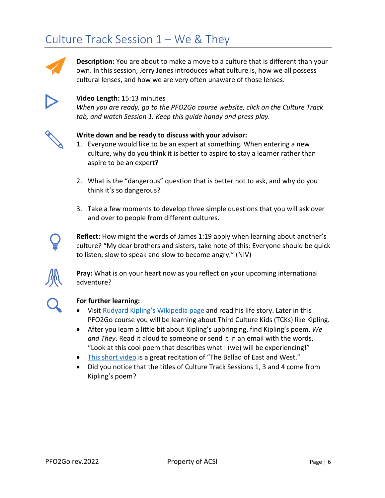# Culture Track Session 1 – We & They



**Description:** You are about to make a move to a culture that is different than your own. In this session, Jerry Jones introduces what culture is, how we all possess cultural lenses, and how we are very often unaware of those lenses.



#### **Video Length:** 15:13 minutes

*When you are ready, go to the PFO2Go course website, click on the Culture Track tab, and watch Session 1. Keep this guide handy and press play.*



#### **Write down and be ready to discuss with your advisor:**

- 1. Everyone would like to be an expert at something. When entering a new culture, why do you think it is better to aspire to stay a learner rather than aspire to be an expert?
- 2. What is the "dangerous" question that is better not to ask, and why do you think it's so dangerous?
- 3. Take a few moments to develop three simple questions that you will ask over and over to people from different cultures.



**Reflect:** How might the words of James 1:19 apply when learning about another's culture? "My dear brothers and sisters, take note of this: Everyone should be quick to listen, slow to speak and slow to become angry." (NIV)



**Pray:** What is on your heart now as you reflect on your upcoming international adventure?



- Visit [Rudyard Kipling's Wikipedia](https://en.wikipedia.org/wiki/Rudyard_Kipling) page and read his life story. Later in this PFO2Go course you will be learning about Third Culture Kids (TCKs) like Kipling.
- After you learn a little bit about Kipling's upbringing, find Kipling's poem, *We and They*. Read it aloud to someone or send it in an email with the words, "Look at this cool poem that describes what I (we) will be experiencing!"
- [This short video](https://www.youtube.com/watch?v=JxKItYqjhB8) is a great recitation of "The Ballad of East and West."
- Did you notice that the titles of Culture Track Sessions 1, 3 and 4 come from Kipling's poem?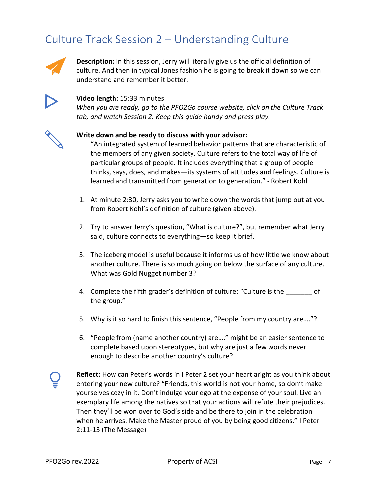# Culture Track Session 2 – Understanding Culture



**Description:** In this session, Jerry will literally give us the official definition of culture. And then in typical Jones fashion he is going to break it down so we can understand and remember it better.



#### **Video length:** 15:33 minutes

*When you are ready, go to the PFO2Go course website, click on the Culture Track tab, and watch Session 2. Keep this guide handy and press play.*



#### **Write down and be ready to discuss with your advisor:**

"An integrated system of learned behavior patterns that are characteristic of the members of any given society. Culture refers to the total way of life of particular groups of people. It includes everything that a group of people thinks, says, does, and makes―its systems of attitudes and feelings. Culture is learned and transmitted from generation to generation." - Robert Kohl

- 1. At minute 2:30, Jerry asks you to write down the words that jump out at you from Robert Kohl's definition of culture (given above).
- 2. Try to answer Jerry's question, "What is culture?", but remember what Jerry said, culture connects to everything―so keep it brief.
- 3. The iceberg model is useful because it informs us of how little we know about another culture. There is so much going on below the surface of any culture. What was Gold Nugget number 3?
- 4. Complete the fifth grader's definition of culture: "Culture is the \_\_\_\_\_\_\_ of the group."
- 5. Why is it so hard to finish this sentence, "People from my country are…."?
- 6. "People from (name another country) are…." might be an easier sentence to complete based upon stereotypes, but why are just a few words never enough to describe another country's culture?



**Reflect:** How can Peter's words in I Peter 2 set your heart aright as you think about entering your new culture? "Friends, this world is not your home, so don't make yourselves cozy in it. Don't indulge your ego at the expense of your soul. Live an exemplary life among the natives so that your actions will refute their prejudices. Then they'll be won over to God's side and be there to join in the celebration when he arrives. Make the Master proud of you by being good citizens." I Peter 2:11-13 (The Message)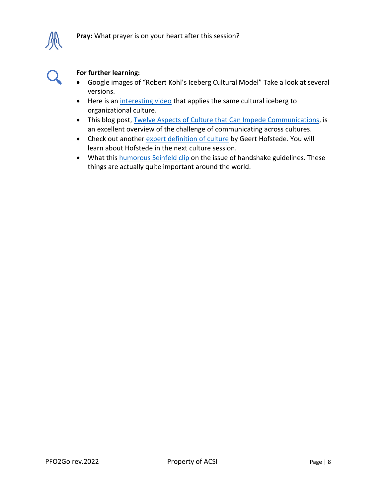

- Google images of "Robert Kohl's Iceberg Cultural Model" Take a look at several versions.
- Here is a[n interesting](https://www.youtube.com/watch?v=cjziCs-R2S4) video that applies the same cultural iceberg to organizational culture.
- This blog post[, Twelve Aspects of Culture that Can Impede Communications,](https://entrustedtothedirt.com/2020/06/25/twelve-aspects-of-culture-that-impede-communication/) is an excellent overview of the challenge of communicating across cultures.
- Check out another expert [definition of culture](https://news.hofstede-insights.com/news/what-do-we-mean-by-culture) by Geert Hofstede. You will learn about Hofstede in the next culture session.
- What this [humorous Seinfeld clip](https://www.youtube.com/watch?v=AFUEerAJXRM) on the issue of handshake guidelines. These things are actually quite important around the world.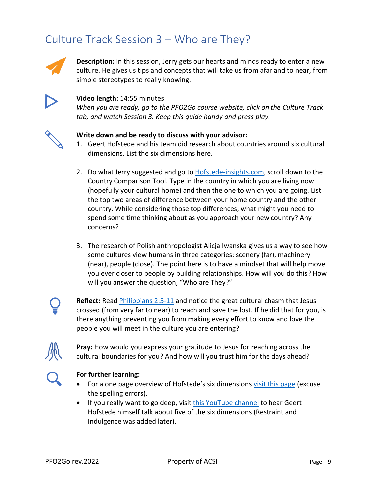# Culture Track Session 3 – Who are They?



**Description:** In this session, Jerry gets our hearts and minds ready to enter a new culture. He gives us tips and concepts that will take us from afar and to near, from simple stereotypes to really knowing.



### **Video length:** 14:55 minutes

*When you are ready, go to the PFO2Go course website, click on the Culture Track tab, and watch Session 3. Keep this guide handy and press play.*



#### **Write down and be ready to discuss with your advisor:**

- 1. Geert Hofstede and his team did research about countries around six cultural dimensions. List the six dimensions here.
- 2. Do what Jerry suggested and go to **Hofstede-insights.com**, scroll down to the Country Comparison Tool. Type in the country in which you are living now (hopefully your cultural home) and then the one to which you are going. List the top two areas of difference between your home country and the other country. While considering those top differences, what might you need to spend some time thinking about as you approach your new country? Any concerns?
- 3. The research of Polish anthropologist Alicja Iwanska gives us a way to see how some cultures view humans in three categories: scenery (far), machinery (near), people (close). The point here is to have a mindset that will help move you ever closer to people by building relationships. How will you do this? How will you answer the question, "Who are They?"



**Reflect:** Read *Philippians 2:5-11* and notice the great cultural chasm that Jesus crossed (from very far to near) to reach and save the lost. If he did that for you, is there anything preventing you from making every effort to know and love the people you will meet in the culture you are entering?



### **Pray:** How would you express your gratitude to Jesus for reaching across the cultural boundaries for you? And how will you trust him for the days ahead?



- For a one page overview of Hofstede's six dimensions [visit this page](https://corporatefinanceinstitute.com/resources/knowledge/other/hofstedes-cultural-dimensions-theory/) (excuse the spelling errors).
- If you really want to go deep, visit [this YouTube channel](https://www.youtube.com/channel/UCC5EEtqfF3lbJ7KzrtXGtfg) to hear Geert Hofstede himself talk about five of the six dimensions (Restraint and Indulgence was added later).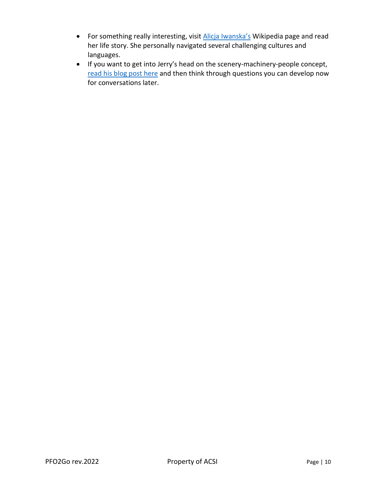- For something really interesting, visit [Alicja Iwanska's](https://en.wikipedia.org/wiki/Alicja_Iwa%C5%84ska) Wikipedia page and read her life story. She personally navigated several challenging cultures and languages.
- If you want to get into Jerry's head on the scenery-machinery-people concept, [read his blog post here](http://www.thecultureblend.com/scenery-machinery-people-rethinking-our-view-of-humans/) and then think through questions you can develop now for conversations later.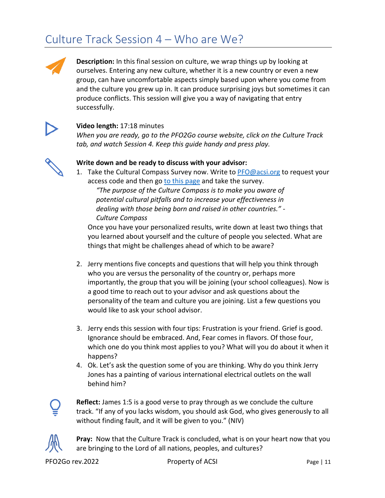# Culture Track Session 4 – Who are We?

**Description:** In this final session on culture, we wrap things up by looking at ourselves. Entering any new culture, whether it is a new country or even a new group, can have uncomfortable aspects simply based upon where you come from and the culture you grew up in. It can produce surprising joys but sometimes it can produce conflicts. This session will give you a way of navigating that entry successfully.



### **Video length:** 17:18 minutes

*When you are ready, go to the PFO2Go course website, click on the Culture Track tab, and watch Session 4. Keep this guide handy and press play.*



### **Write down and be ready to discuss with your advisor:**

1. Take the Cultural Compass Survey now. Write to [PFO@acsi.org](mailto:PFO@acsi.org) to request your access code and then go [to this page](https://www.hofstede-insights.com/launch-culture-compass/) and take the survey.

*"The purpose of the Culture Compass is to make you aware of potential cultural pitfalls and to increase your effectiveness in dealing with those being born and raised in other countries." - Culture Compass* 

Once you have your personalized results, write down at least two things that you learned about yourself and the culture of people you selected. What are things that might be challenges ahead of which to be aware?

- 2. Jerry mentions five concepts and questions that will help you think through who you are versus the personality of the country or, perhaps more importantly, the group that you will be joining (your school colleagues). Now is a good time to reach out to your advisor and ask questions about the personality of the team and culture you are joining. List a few questions you would like to ask your school advisor.
- 3. Jerry ends this session with four tips: Frustration is your friend. Grief is good. Ignorance should be embraced. And, Fear comes in flavors. Of those four, which one do you think most applies to you? What will you do about it when it happens?
- 4. Ok. Let's ask the question some of you are thinking. Why do you think Jerry Jones has a painting of various international electrical outlets on the wall behind him?



**Reflect:** James 1:5 is a good verse to pray through as we conclude the culture track. "If any of you lacks wisdom, you should ask God, who gives generously to all without finding fault, and it will be given to you." (NIV)



**Pray:** Now that the Culture Track is concluded, what is on your heart now that you are bringing to the Lord of all nations, peoples, and cultures?

PFO2Go rev.2022 **Property of ACSI** Page | 11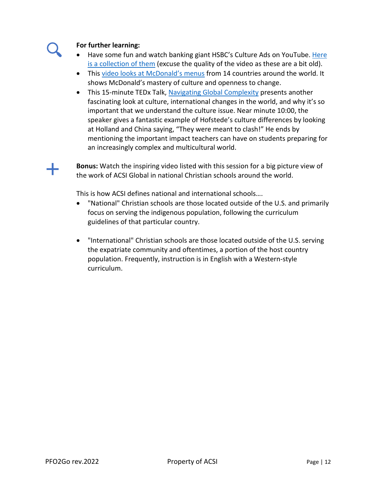#### **For further learning:**

- Have some fun and watch banking giant HSBC's Culture Ads on YouTube. Here [is a collection of them](https://www.youtube.com/watch?v=ALWwK7Vz4gY) (excuse the quality of the video as these are a bit old).
- This video [looks at McDonald's m](https://youtu.be/JJPmoHR7DlU)enus from 14 countries around the world. It shows McDonald's mastery of culture and openness to change.
- This 15-minute TEDx Talk, [Navigating Global Complexity](https://www.youtube.com/watch?v=H5KIbtxzzAU) presents another fascinating look at culture, international changes in the world, and why it's so important that we understand the culture issue. Near minute 10:00, the speaker gives a fantastic example of Hofstede's culture differences by looking at Holland and China saying, "They were meant to clash!" He ends by mentioning the important impact teachers can have on students preparing for an increasingly complex and multicultural world.

**Bonus:** Watch the inspiring video listed with this session for a big picture view of the work of ACSI Global in national Christian schools around the world.

This is how ACSI defines national and international schools….

- "National" Christian schools are those located outside of the U.S. and primarily focus on serving the indigenous population, following the curriculum guidelines of that particular country.
- "International" Christian schools are those located outside of the U.S. serving the expatriate community and oftentimes, a portion of the host country population. Frequently, instruction is in English with a Western-style curriculum.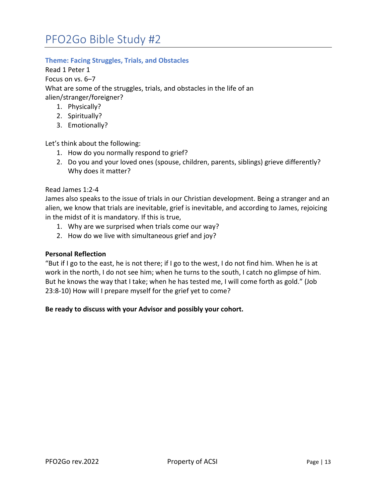### **Theme: Facing Struggles, Trials, and Obstacles**

Read 1 Peter 1

Focus on vs. 6–7

What are some of the struggles, trials, and obstacles in the life of an alien/stranger/foreigner?

- 1. Physically?
- 2. Spiritually?
- 3. Emotionally?

Let's think about the following:

- 1. How do you normally respond to grief?
- 2. Do you and your loved ones (spouse, children, parents, siblings) grieve differently? Why does it matter?

#### Read James 1:2-4

James also speaks to the issue of trials in our Christian development. Being a stranger and an alien, we know that trials are inevitable, grief is inevitable, and according to James, rejoicing in the midst of it is mandatory. If this is true,

- 1. Why are we surprised when trials come our way?
- 2. How do we live with simultaneous grief and joy?

#### **Personal Reflection**

"But if I go to the east, he is not there; if I go to the west, I do not find him. When he is at work in the north, I do not see him; when he turns to the south, I catch no glimpse of him. But he knows the way that I take; when he has tested me, I will come forth as gold." (Job 23:8-10) How will I prepare myself for the grief yet to come?

#### **Be ready to discuss with your Advisor and possibly your cohort.**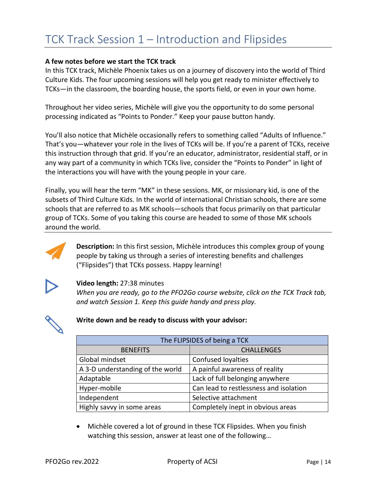# TCK Track Session 1 – Introduction and Flipsides

#### **A few notes before we start the TCK track**

In this TCK track, Michèle Phoenix takes us on a journey of discovery into the world of Third Culture Kids. The four upcoming sessions will help you get ready to minister effectively to TCKs―in the classroom, the boarding house, the sports field, or even in your own home.

Throughout her video series, Michèle will give you the opportunity to do some personal processing indicated as "Points to Ponder." Keep your pause button handy.

You'll also notice that Michèle occasionally refers to something called "Adults of Influence." That's you—whatever your role in the lives of TCKs will be. If you're a parent of TCKs, receive this instruction through that grid. If you're an educator, administrator, residential staff, or in any way part of a community in which TCKs live, consider the "Points to Ponder" in light of the interactions you will have with the young people in your care.

Finally, you will hear the term "MK" in these sessions. MK, or missionary kid, is one of the subsets of Third Culture Kids. In the world of international Christian schools, there are some schools that are referred to as MK schools―schools that focus primarily on that particular group of TCKs. Some of you taking this course are headed to some of those MK schools around the world.



**Description:** In this first session, Michèle introduces this complex group of young people by taking us through a series of interesting benefits and challenges ("Flipsides") that TCKs possess. Happy learning!



#### **Video length:** 27:38 minutes

*When you are ready, go to the PFO2Go course website, click on the TCK Track tab, and watch Session 1. Keep this guide handy and press play.*



#### **Write down and be ready to discuss with your advisor:**

| The FLIPSIDES of being a TCK     |                                        |  |  |  |
|----------------------------------|----------------------------------------|--|--|--|
| <b>BENEFITS</b>                  | <b>CHALLENGES</b>                      |  |  |  |
| Global mindset                   | Confused loyalties                     |  |  |  |
| A 3-D understanding of the world | A painful awareness of reality         |  |  |  |
| Adaptable                        | Lack of full belonging anywhere        |  |  |  |
| Hyper-mobile                     | Can lead to restlessness and isolation |  |  |  |
| Independent                      | Selective attachment                   |  |  |  |
| Highly savvy in some areas       | Completely inept in obvious areas      |  |  |  |

• Michèle covered a lot of ground in these TCK Flipsides. When you finish watching this session, answer at least one of the following…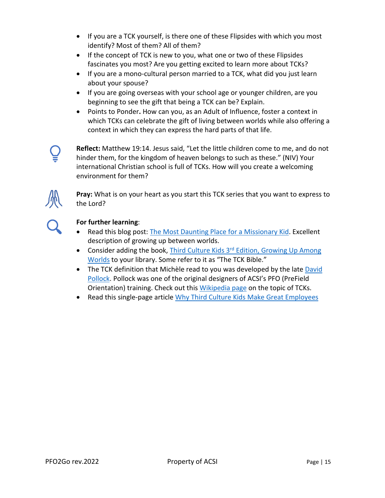- If you are a TCK yourself, is there one of these Flipsides with which you most identify? Most of them? All of them?
- If the concept of TCK is new to you, what one or two of these Flipsides fascinates you most? Are you getting excited to learn more about TCKs?
- If you are a mono-cultural person married to a TCK, what did you just learn about your spouse?
- If you are going overseas with your school age or younger children, are you beginning to see the gift that being a TCK can be? Explain.
- Points to Ponder**.** How can you, as an Adult of Influence, foster a context in which TCKs can celebrate the gift of living between worlds while also offering a context in which they can express the hard parts of that life.

**Reflect:** Matthew 19:14. Jesus said, "Let the little children come to me, and do not hinder them, for the kingdom of heaven belongs to such as these." (NIV) Your international Christian school is full of TCKs. How will you create a welcoming environment for them?



**Pray:** What is on your heart as you start this TCK series that you want to express to the Lord?



- Read this blog post: [The Most Daunting Place for a Missionary Kid.](https://entrustedtothedirt.com/2020/07/02/the-most-daunting-place-for-a-missionary-kid/) Excellent description of growing up between worlds.
- Consider adding the book, Third Culture Kids  $3<sup>rd</sup>$  Edition, Growing Up Among [Worlds](https://www.amazon.com/dp/B004774S1O/ref=cm_sw_em_r_mt_dp_U_i0-6EbV4M7RPD) to your library. Some refer to it as "The TCK Bible."
- The TCK definition that Michèle read to you was developed by the late David [Pollock.](https://en.wikipedia.org/wiki/David_C._Pollock) Pollock was one of the original designers of ACSI's PFO (PreField Orientation) training. Check out this [Wikipedia page](https://en.wikipedia.org/wiki/Third_culture_kid) on the topic of TCKs.
- Read this single-page article [Why Third Culture Kids Make Great Employees](https://www.peoplemattersglobal.com/article/culture/why-third-culture-kids-make-great-employees-22826)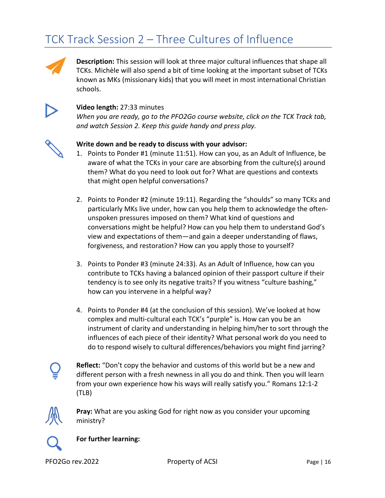# TCK Track Session 2 – Three Cultures of Influence



**Description:** This session will look at three major cultural influences that shape all TCKs. Michèle will also spend a bit of time looking at the important subset of TCKs known as MKs (missionary kids) that you will meet in most international Christian schools.



### **Video length:** 27:33 minutes

*When you are ready, go to the PFO2Go course website, click on the TCK Track tab, and watch Session 2. Keep this guide handy and press play.*



#### **Write down and be ready to discuss with your advisor:**

- 1. Points to Ponder #1 (minute 11:51). How can you, as an Adult of Influence, be aware of what the TCKs in your care are absorbing from the culture(s) around them? What do you need to look out for? What are questions and contexts that might open helpful conversations?
- 2. Points to Ponder #2 (minute 19:11). Regarding the "shoulds" so many TCKs and particularly MKs live under, how can you help them to acknowledge the oftenunspoken pressures imposed on them? What kind of questions and conversations might be helpful? How can you help them to understand God's view and expectations of them—and gain a deeper understanding of flaws, forgiveness, and restoration? How can you apply those to yourself?
- 3. Points to Ponder #3 (minute 24:33). As an Adult of Influence, how can you contribute to TCKs having a balanced opinion of their passport culture if their tendency is to see only its negative traits? If you witness "culture bashing," how can you intervene in a helpful way?
- 4. Points to Ponder #4 (at the conclusion of this session). We've looked at how complex and multi-cultural each TCK's "purple" is. How can you be an instrument of clarity and understanding in helping him/her to sort through the influences of each piece of their identity? What personal work do you need to do to respond wisely to cultural differences/behaviors you might find jarring?



**Reflect:** "Don't copy the behavior and customs of this world but be a new and different person with a fresh newness in all you do and think. Then you will learn from your own experience how his ways will really satisfy you." Romans 12:1-2 (TLB)



**Pray:** What are you asking God for right now as you consider your upcoming ministry?



**For further learning:**

PFO2Go rev.2022 Property of ACSI Page | 16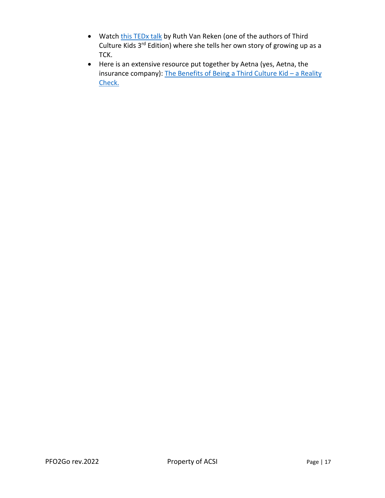- Watch [this TEDx talk](https://www.youtube.com/watch?v=vrVWHfEQz6A) by Ruth Van Reken (one of the authors of Third Culture Kids 3<sup>rd</sup> Edition) where she tells her own story of growing up as a TCK.
- Here is an extensive resource put together by Aetna (yes, Aetna, the insurance company): [The Benefits of Being a Third Culture Kid – a Reality](https://www.aetnainternational.com/en/about-us/explore/third-culture-kids.html)  Check.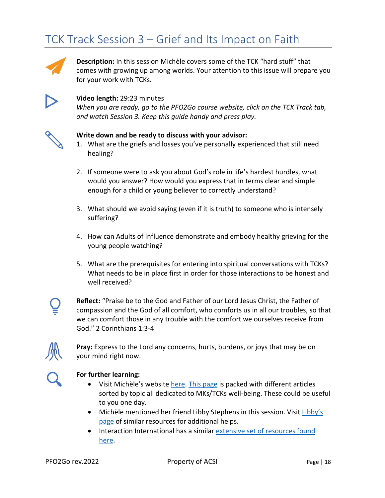# TCK Track Session 3 – Grief and Its Impact on Faith



**Description:** In this session Michèle covers some of the TCK "hard stuff" that comes with growing up among worlds. Your attention to this issue will prepare you for your work with TCKs.



#### **Video length:** 29:23 minutes

*When you are ready, go to the PFO2Go course website, click on the TCK Track tab, and watch Session 3. Keep this guide handy and press play.*



#### **Write down and be ready to discuss with your advisor:**

- 1. What are the griefs and losses you've personally experienced that still need healing?
- 2. If someone were to ask you about God's role in life's hardest hurdles, what would you answer? How would you express that in terms clear and simple enough for a child or young believer to correctly understand?
- 3. What should we avoid saying (even if it is truth) to someone who is intensely suffering?
- 4. How can Adults of Influence demonstrate and embody healthy grieving for the young people watching?
- 5. What are the prerequisites for entering into spiritual conversations with TCKs? What needs to be in place first in order for those interactions to be honest and well received?



**Reflect:** "Praise be to the God and Father of our Lord Jesus Christ, the Father of compassion and the God of all comfort, who comforts us in all our troubles, so that we can comfort those in any trouble with the comfort we ourselves receive from God." 2 Corinthians 1:3-4



**Pray:** Express to the Lord any concerns, hurts, burdens, or joys that may be on your mind right now.

- Visit Michèle's websit[e here.](https://michelephoenix.com/) [This page](https://michelephoenix.com/top-reads/) is packed with different articles sorted by topic all dedicated to MKs/TCKs well-being. These could be useful to you one day.
- Michèle mentioned her friend Libby Stephens in this session. Visit Libby's [page](https://www.libbystephens.com/third-culture-kids) of similar resources for additional helps.
- Interaction International has a similar [extensive set of resources found](https://interactionintl.org/resources/)  [here.](https://interactionintl.org/resources/)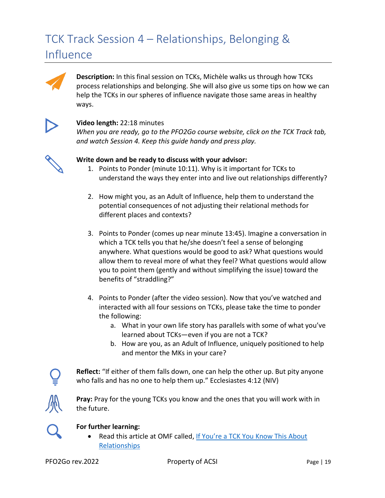# TCK Track Session 4 – Relationships, Belonging & Influence



**Description:** In this final session on TCKs, Michèle walks us through how TCKs process relationships and belonging. She will also give us some tips on how we can help the TCKs in our spheres of influence navigate those same areas in healthy ways.



### **Video length:** 22:18 minutes

*When you are ready, go to the PFO2Go course website, click on the TCK Track tab, and watch Session 4. Keep this guide handy and press play.*



### **Write down and be ready to discuss with your advisor:**

- 1. Points to Ponder (minute 10:11). Why is it important for TCKs to understand the ways they enter into and live out relationships differently?
- 2. How might you, as an Adult of Influence, help them to understand the potential consequences of not adjusting their relational methods for different places and contexts?
- 3. Points to Ponder (comes up near minute 13:45). Imagine a conversation in which a TCK tells you that he/she doesn't feel a sense of belonging anywhere. What questions would be good to ask? What questions would allow them to reveal more of what they feel? What questions would allow you to point them (gently and without simplifying the issue) toward the benefits of "straddling?"
- 4. Points to Ponder (after the video session). Now that you've watched and interacted with all four sessions on TCKs, please take the time to ponder the following:
	- a. What in your own life story has parallels with some of what you've learned about TCKs—even if you are not a TCK?
	- b. How are you, as an Adult of Influence, uniquely positioned to help and mentor the MKs in your care?

**Reflect:** "If either of them falls down, one can help the other up. But pity anyone who falls and has no one to help them up." Ecclesiastes 4:12 (NIV)



**Pray:** Pray for the young TCKs you know and the ones that you will work with in the future.



#### **For further learning:**

• Read this article at OMF called[, If You're a TCK You Know This About](https://omf.org/us/if-youre-a-tck-you-know-this-about-relationships/)  [Relationships](https://omf.org/us/if-youre-a-tck-you-know-this-about-relationships/)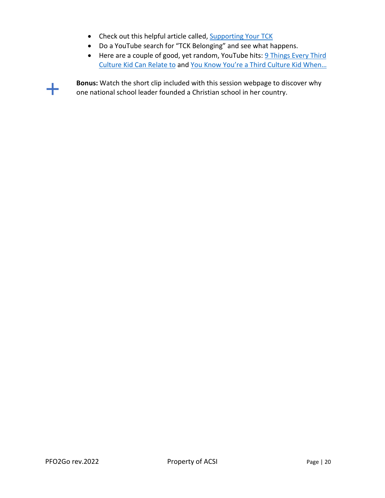- Check out this helpful article called[, Supporting Your TCK](http://olivetreecounseling.org/supporting-your-tck/)
- Do a YouTube search for "TCK Belonging" and see what happens.
- Here are a couple of good, yet random, YouTube hits: 9 Things Every Third [Culture Kid Can Relate to](https://blog.eftours.com/inspiration/education/9-things-every-third-culture-kid-can-relate-to) and [You Know You're a Third Culture Kid When…](http://tcthirdculture.com/originals/belonging-tck/)

╉

**Bonus:** Watch the short clip included with this session webpage to discover why one national school leader founded a Christian school in her country.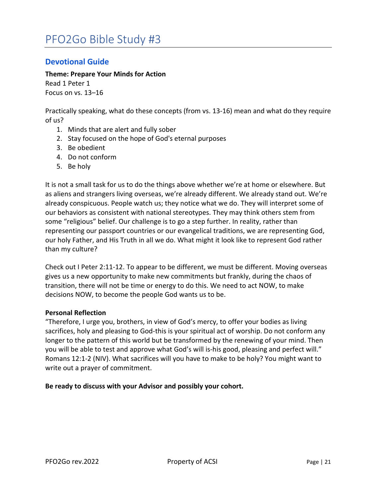### **Devotional Guide**

**Theme: Prepare Your Minds for Action**

Read 1 Peter 1 Focus on vs. 13–16

Practically speaking, what do these concepts (from vs. 13-16) mean and what do they require of us?

- 1. Minds that are alert and fully sober
- 2. Stay focused on the hope of God's eternal purposes
- 3. Be obedient
- 4. Do not conform
- 5. Be holy

It is not a small task for us to do the things above whether we're at home or elsewhere. But as aliens and strangers living overseas, we're already different. We already stand out. We're already conspicuous. People watch us; they notice what we do. They will interpret some of our behaviors as consistent with national stereotypes. They may think others stem from some "religious" belief. Our challenge is to go a step further. In reality, rather than representing our passport countries or our evangelical traditions, we are representing God, our holy Father, and His Truth in all we do. What might it look like to represent God rather than my culture?

Check out I Peter 2:11-12. To appear to be different, we must be different. Moving overseas gives us a new opportunity to make new commitments but frankly, during the chaos of transition, there will not be time or energy to do this. We need to act NOW, to make decisions NOW, to become the people God wants us to be.

#### **Personal Reflection**

"Therefore, I urge you, brothers, in view of God's mercy, to offer your bodies as living sacrifices, holy and pleasing to God-this is your spiritual act of worship. Do not conform any longer to the pattern of this world but be transformed by the renewing of your mind. Then you will be able to test and approve what God's will is-his good, pleasing and perfect will." Romans 12:1-2 (NIV). What sacrifices will you have to make to be holy? You might want to write out a prayer of commitment.

#### **Be ready to discuss with your Advisor and possibly your cohort.**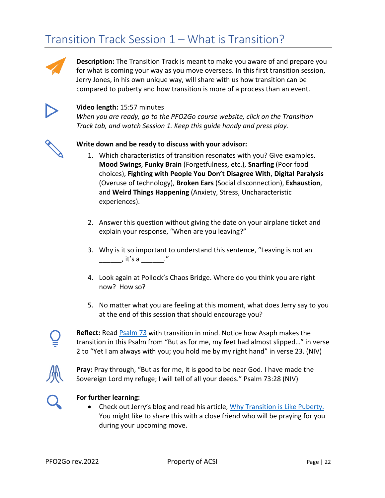# Transition Track Session 1 – What is Transition?



**Description:** The Transition Track is meant to make you aware of and prepare you for what is coming your way as you move overseas. In this first transition session, Jerry Jones, in his own unique way, will share with us how transition can be compared to puberty and how transition is more of a process than an event.



### **Video length:** 15:57 minutes

*When you are ready, go to the PFO2Go course website, click on the Transition Track tab, and watch Session 1. Keep this guide handy and press play.*



#### **Write down and be ready to discuss with your advisor:**

- 1. Which characteristics of transition resonates with you? Give examples. **Mood Swings**, **Funky Brain** (Forgetfulness, etc.), **Snarfing** (Poor food choices), **Fighting with People You Don't Disagree With**, **Digital Paralysis** (Overuse of technology), **Broken Ears** (Social disconnection), **Exhaustion**, and **Weird Things Happening** (Anxiety, Stress, Uncharacteristic experiences).
- 2. Answer this question without giving the date on your airplane ticket and explain your response, "When are you leaving?"
- 3. Why is it so important to understand this sentence, "Leaving is not an \_\_\_\_\_\_, it's a \_\_\_\_\_\_."
- 4. Look again at Pollock's Chaos Bridge. Where do you think you are right now? How so?
- 5. No matter what you are feeling at this moment, what does Jerry say to you at the end of this session that should encourage you?



**Reflect:** Read [Psalm 73](https://www.biblegateway.com/passage/?search=Psalm+73&version=NIV) with transition in mind. Notice how Asaph makes the transition in this Psalm from "But as for me, my feet had almost slipped…" in verse 2 to "Yet I am always with you; you hold me by my right hand" in verse 23. (NIV)



**Pray:** Pray through, "But as for me, it is good to be near God. I have made the Sovereign Lord my refuge; I will tell of all your deeds." Psalm 73:28 (NIV)



#### **For further learning:**

• Check out Jerry's blog and read his article, [Why Transition is Like Puberty.](http://www.thecultureblend.com/why-transition-is-like-puberty/) You might like to share this with a close friend who will be praying for you during your upcoming move.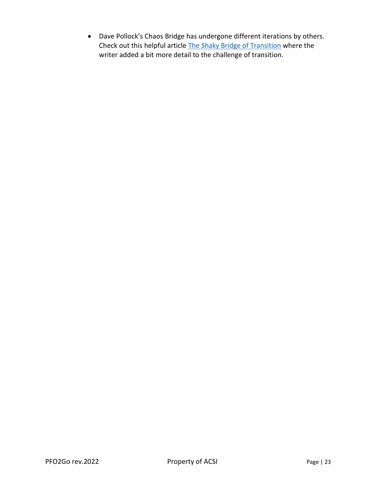• Dave Pollock's Chaos Bridge has undergone different iterations by others. Check out this helpful article [The Shaky Bridge of Transition](https://traininternational.org/blog/the-shaky-bridge-of-transition) where the writer added a bit more detail to the challenge of transition.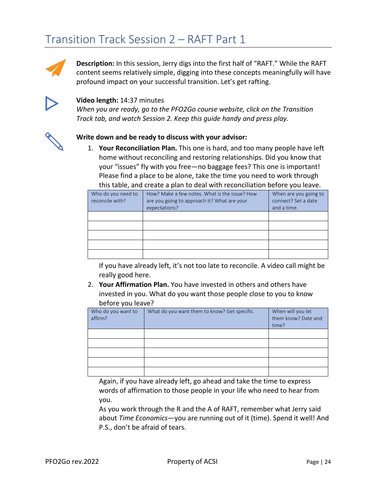# Transition Track Session 2 – RAFT Part 1



**Description:** In this session, Jerry digs into the first half of "RAFT." While the RAFT content seems relatively simple, digging into these concepts meaningfully will have profound impact on your successful transition. Let's get rafting.



#### **Video length:** 14:37 minutes

*When you are ready, go to the PFO2Go course website, click on the Transition Track tab, and watch Session 2. Keep this guide handy and press play.*

#### **Write down and be ready to discuss with your advisor:**

1. **Your Reconciliation Plan.** This one is hard, and too many people have left home without reconciling and restoring relationships. Did you know that your "issues" fly with you free—no baggage fees? This one is important! Please find a place to be alone, take the time you need to work through this table, and create a plan to deal with reconciliation before you leave.

| Who do you need to<br>reconcile with? | How? Make a few notes. What is the issue? How<br>are you going to approach it? What are your<br>expectations? | When are you going to<br>connect? Set a date<br>and a time. |
|---------------------------------------|---------------------------------------------------------------------------------------------------------------|-------------------------------------------------------------|
|                                       |                                                                                                               |                                                             |
|                                       |                                                                                                               |                                                             |
|                                       |                                                                                                               |                                                             |
|                                       |                                                                                                               |                                                             |
|                                       |                                                                                                               |                                                             |

If you have already left, it's not too late to reconcile. A video call might be really good here.

2. **Your Affirmation Plan.** You have invested in others and others have invested in you. What do you want those people close to you to know before you leave?

| Who do you want to<br>affirm? | What do you want them to know? Get specific. | When will you let<br>them know? Date and<br>time? |
|-------------------------------|----------------------------------------------|---------------------------------------------------|
|                               |                                              |                                                   |
|                               |                                              |                                                   |
|                               |                                              |                                                   |
|                               |                                              |                                                   |
|                               |                                              |                                                   |

Again, if you have already left, go ahead and take the time to express words of affirmation to those people in your life who need to hear from you.

As you work through the R and the A of RAFT, remember what Jerry said about *Time Economics*―you are running out of it (time). Spend it well! And P.S., don't be afraid of tears.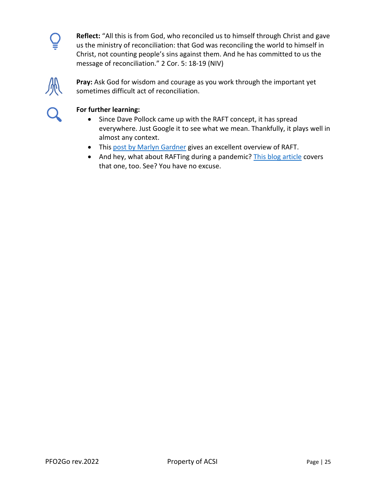

**Reflect:** "All this is from God, who reconciled us to himself through Christ and gave us the ministry of reconciliation: that God was reconciling the world to himself in Christ, not counting people's sins against them. And he has committed to us the message of reconciliation." 2 Cor. 5: 18-19 (NIV)



**Pray:** Ask God for wisdom and courage as you work through the important yet sometimes difficult act of reconciliation.



- Since Dave Pollock came up with the RAFT concept, it has spread everywhere. Just Google it to see what we mean. Thankfully, it plays well in almost any context.
- This [post by Marlyn Gardner](https://communicatingacrossboundariesblog.com/2014/06/12/transition-building-a-raft/) gives an excellent overview of RAFT.
- And hey, what about RAFTing during a pandemic? [This blog article](https://raisingtcks.com/2014/05/26/how-to-leave-well-build-a-raft/) covers that one, too. See? You have no excuse.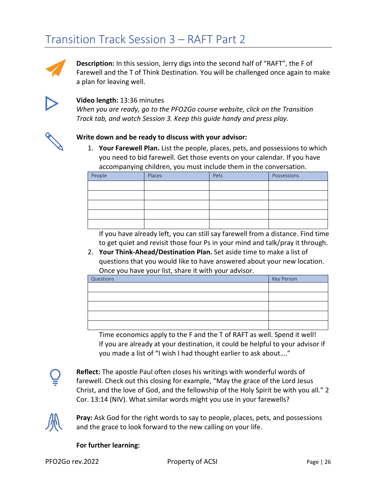# Transition Track Session 3 – RAFT Part 2



**Description:** In this session, Jerry digs into the second half of "RAFT", the F of Farewell and the T of Think Destination. You will be challenged once again to make a plan for leaving well.



### **Video length:** 13:36 minutes

*When you are ready, go to the PFO2Go course website, click on the Transition Track tab, and watch Session 3. Keep this guide handy and press play.*



#### **Write down and be ready to discuss with your advisor:**

1. **Your Farewell Plan.** List the people, places, pets, and possessions to which you need to bid farewell. Get those events on your calendar. If you have accompanying children, you must include them in the conversation.

| People | Places | Pets | Possessions |
|--------|--------|------|-------------|
|        |        |      |             |
|        |        |      |             |
|        |        |      |             |
|        |        |      |             |
|        |        |      |             |

If you have already left, you can still say farewell from a distance. Find time to get quiet and revisit those four Ps in your mind and talk/pray it through.

2. **Your Think-Ahead/Destination Plan.** Set aside time to make a list of questions that you would like to have answered about your new location. Once you have your list, share it with your advisor.

| Questions | Key Person |
|-----------|------------|
|           |            |
|           |            |
|           |            |
|           |            |
|           |            |

Time economics apply to the F and the T of RAFT as well. Spend it well! If you are already at your destination, it could be helpful to your advisor if you made a list of "I wish I had thought earlier to ask about…."



**Reflect:** The apostle Paul often closes his writings with wonderful words of farewell. Check out this closing for example, "May the grace of the Lord Jesus Christ, and the love of God, and the fellowship of the Holy Spirit be with you all." 2 Cor. 13:14 (NIV). What similar words might you use in your farewells?



**Pray:** Ask God for the right words to say to people, places, pets, and possessions and the grace to look forward to the new calling on your life.

#### **For further learning:**

PFO2Go rev.2022 **Property of ACSI** Page | 26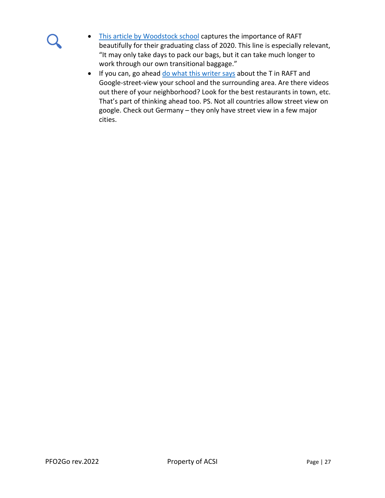- [This article by Woodstock](https://www.woodstockschool.in/raft-transition/) school captures the importance of RAFT beautifully for their graduating class of 2020. This line is especially relevant, "It may only take days to pack our bags, but it can take much longer to work through our own transitional baggage."
- If you can, go ahead [do what this writer says](https://thedaybreathes.com/build-raft-to-float-life-transitions/) about the T in RAFT and Google-street-view your school and the surrounding area. Are there videos out there of your neighborhood? Look for the best restaurants in town, etc. That's part of thinking ahead too. PS. Not all countries allow street view on google. Check out Germany – they only have street view in a few major cities.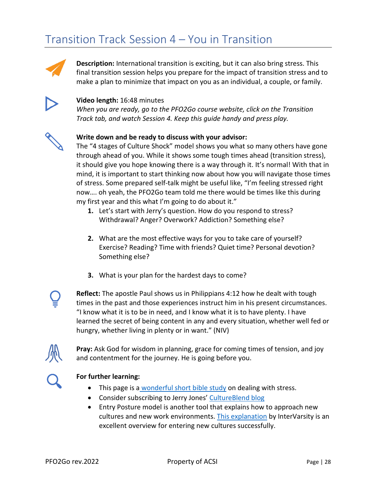# Transition Track Session 4 – You in Transition



**Description:** International transition is exciting, but it can also bring stress. This final transition session helps you prepare for the impact of transition stress and to make a plan to minimize that impact on you as an individual, a couple, or family.



#### **Video length:** 16:48 minutes

*When you are ready, go to the PFO2Go course website, click on the Transition Track tab, and watch Session 4. Keep this guide handy and press play.*



#### **Write down and be ready to discuss with your advisor:**

The "4 stages of Culture Shock" model shows you what so many others have gone through ahead of you. While it shows some tough times ahead (transition stress), it should give you hope knowing there is a way through it. It's normal! With that in mind, it is important to start thinking now about how you will navigate those times of stress. Some prepared self-talk might be useful like, "I'm feeling stressed right now…. oh yeah, the PFO2Go team told me there would be times like this during my first year and this what I'm going to do about it."

- **1.** Let's start with Jerry's question. How do you respond to stress? Withdrawal? Anger? Overwork? Addiction? Something else?
- **2.** What are the most effective ways for you to take care of yourself? Exercise? Reading? Time with friends? Quiet time? Personal devotion? Something else?
- **3.** What is your plan for the hardest days to come?



**Reflect:** The apostle Paul shows us in Philippians 4:12 how he dealt with tough times in the past and those experiences instruct him in his present circumstances. "I know what it is to be in need, and I know what it is to have plenty. I have learned the secret of being content in any and every situation, whether well fed or hungry, whether living in plenty or in want." (NIV)



**Pray:** Ask God for wisdom in planning, grace for coming times of tension, and joy and contentment for the journey. He is going before you.



- This page is a wonderful short [bible study](https://www.gotquestions.org/Bible-stress.html) on dealing with stress.
- Consider subscribing to Jerry Jones' [CultureBlend blog](https://www.thecultureblend.com/blog/)
- Entry Posture model is another tool that explains how to approach new cultures and new work environments. [This explanation](https://mem.intervarsity.org/sites/mem/files/resource/file/Approaching%20Differences%201%20-%20Entry%20Posture.pdf) by InterVarsity is an excellent overview for entering new cultures successfully.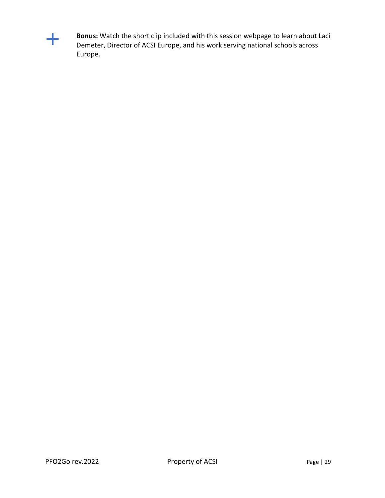

**Bonus:** Watch the short clip included with this session webpage to learn about Laci Demeter, Director of ACSI Europe, and his work serving national schools across Europe.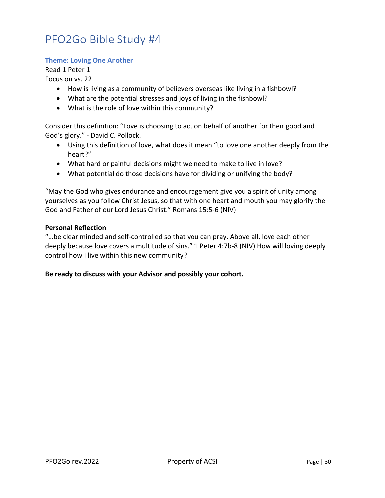#### **Theme: Loving One Another**

Read 1 Peter 1

Focus on vs. 22

- How is living as a community of believers overseas like living in a fishbowl?
- What are the potential stresses and joys of living in the fishbowl?
- What is the role of love within this community?

Consider this definition: "Love is choosing to act on behalf of another for their good and God's glory." - David C. Pollock.

- Using this definition of love, what does it mean "to love one another deeply from the heart?"
- What hard or painful decisions might we need to make to live in love?
- What potential do those decisions have for dividing or unifying the body?

"May the God who gives endurance and encouragement give you a spirit of unity among yourselves as you follow Christ Jesus, so that with one heart and mouth you may glorify the God and Father of our Lord Jesus Christ." Romans 15:5-6 (NIV)

#### **Personal Reflection**

"…be clear minded and self-controlled so that you can pray. Above all, love each other deeply because love covers a multitude of sins." 1 Peter 4:7b-8 (NIV) How will loving deeply control how I live within this new community?

#### **Be ready to discuss with your Advisor and possibly your cohort.**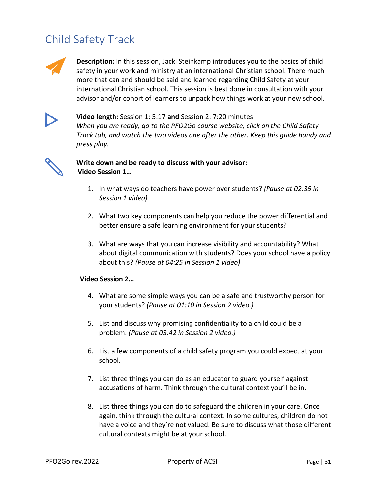# Child Safety Track



**Description:** In this session, Jacki Steinkamp introduces you to the basics of child safety in your work and ministry at an international Christian school. There much more that can and should be said and learned regarding Child Safety at your international Christian school. This session is best done in consultation with your advisor and/or cohort of learners to unpack how things work at your new school.



**Video length:** Session 1: 5:17 **and** Session 2: 7:20 minutes *When you are ready, go to the PFO2Go course website, click on the Child Safety Track tab, and watch the two videos one after the other. Keep this guide handy and press play.*



### **Write down and be ready to discuss with your advisor: Video Session 1…**

- 1. In what ways do teachers have power over students? *(Pause at 02:35 in Session 1 video)*
- 2. What two key components can help you reduce the power differential and better ensure a safe learning environment for your students?
- 3. What are ways that you can increase visibility and accountability? What about digital communication with students? Does your school have a policy about this? *(Pause at 04:25 in Session 1 video)*

### **Video Session 2…**

- 4. What are some simple ways you can be a safe and trustworthy person for your students? *(Pause at 01:10 in Session 2 video.)*
- 5. List and discuss why promising confidentiality to a child could be a problem. *(Pause at 03:42 in Session 2 video.)*
- 6. List a few components of a child safety program you could expect at your school.
- 7. List three things you can do as an educator to guard yourself against accusations of harm. Think through the cultural context you'll be in.
- 8. List three things you can do to safeguard the children in your care. Once again, think through the cultural context. In some cultures, children do not have a voice and they're not valued. Be sure to discuss what those different cultural contexts might be at your school.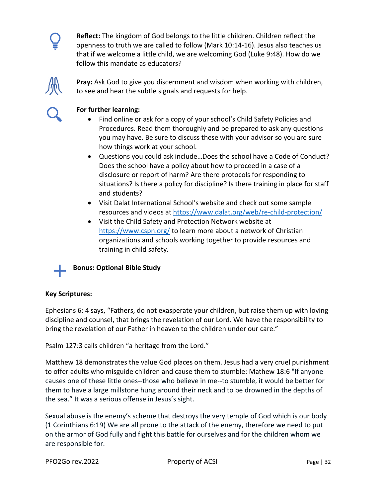

**Reflect:** The kingdom of God belongs to the little children. Children reflect the openness to truth we are called to follow (Mark 10:14-16). Jesus also teaches us that if we welcome a little child, we are welcoming God (Luke 9:48). How do we follow this mandate as educators?



**Pray:** Ask God to give you discernment and wisdom when working with children, to see and hear the subtle signals and requests for help.



### **For further learning:**

- Find online or ask for a copy of your school's Child Safety Policies and Procedures. Read them thoroughly and be prepared to ask any questions you may have. Be sure to discuss these with your advisor so you are sure how things work at your school.
- Questions you could ask include…Does the school have a Code of Conduct? Does the school have a policy about how to proceed in a case of a disclosure or report of harm? Are there protocols for responding to situations? Is there a policy for discipline? Is there training in place for staff and students?
- Visit Dalat International School's website and check out some sample resources and videos at<https://www.dalat.org/web/re-child-protection/>
- Visit the Child Safety and Protection Network website at <https://www.cspn.org/> to learn more about a network of Christian organizations and schools working together to provide resources and training in child safety.

## **Bonus: Optional Bible Study**

### **Key Scriptures:**

Ephesians 6: 4 says, "Fathers, do not exasperate your children, but raise them up with loving discipline and counsel, that brings the revelation of our Lord. We have the responsibility to bring the revelation of our Father in heaven to the children under our care."

Psalm 127:3 calls children "a heritage from the Lord."

Matthew 18 demonstrates the value God places on them. Jesus had a very cruel punishment to offer adults who misguide children and cause them to stumble: Mathew 18:6 "If anyone causes one of these little ones--those who believe in me--to stumble, it would be better for them to have a large millstone hung around their neck and to be drowned in the depths of the sea." It was a serious offense in Jesus's sight.

Sexual abuse is the enemy's scheme that destroys the very temple of God which is our body (1 Corinthians 6:19) We are all prone to the attack of the enemy, therefore we need to put on the armor of God fully and fight this battle for ourselves and for the children whom we are responsible for.

PFO2Go rev.2022 **Property of ACSI** Page | 32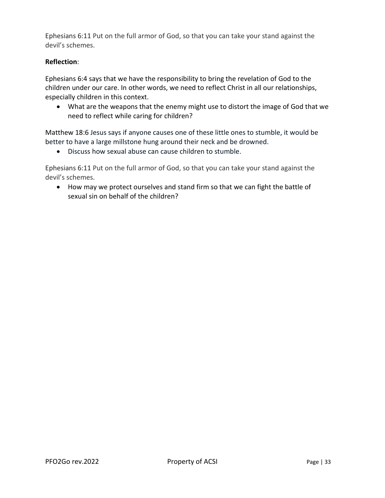Ephesians 6:11 Put on the full armor of God, so that you can take your stand against the devil's schemes.

### **Reflection**:

Ephesians 6:4 says that we have the responsibility to bring the revelation of God to the children under our care. In other words, we need to reflect Christ in all our relationships, especially children in this context.

• What are the weapons that the enemy might use to distort the image of God that we need to reflect while caring for children?

Matthew 18:6 Jesus says if anyone causes one of these little ones to stumble, it would be better to have a large millstone hung around their neck and be drowned.

• Discuss how sexual abuse can cause children to stumble.

Ephesians 6:11 Put on the full armor of God, so that you can take your stand against the devil's schemes.

• How may we protect ourselves and stand firm so that we can fight the battle of sexual sin on behalf of the children?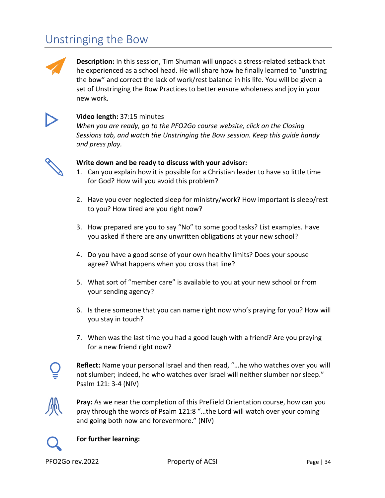# Unstringing the Bow



**Description:** In this session, Tim Shuman will unpack a stress-related setback that he experienced as a school head. He will share how he finally learned to "unstring the bow" and correct the lack of work/rest balance in his life. You will be given a set of Unstringing the Bow Practices to better ensure wholeness and joy in your new work.



### **Video length:** 37:15 minutes

*When you are ready, go to the PFO2Go course website, click on the Closing Sessions tab, and watch the Unstringing the Bow session. Keep this guide handy and press play.*



#### **Write down and be ready to discuss with your advisor:**

- 1. Can you explain how it is possible for a Christian leader to have so little time for God? How will you avoid this problem?
- 2. Have you ever neglected sleep for ministry/work? How important is sleep/rest to you? How tired are you right now?
- 3. How prepared are you to say "No" to some good tasks? List examples. Have you asked if there are any unwritten obligations at your new school?
- 4. Do you have a good sense of your own healthy limits? Does your spouse agree? What happens when you cross that line?
- 5. What sort of "member care" is available to you at your new school or from your sending agency?
- 6. Is there someone that you can name right now who's praying for you? How will you stay in touch?
- 7. When was the last time you had a good laugh with a friend? Are you praying for a new friend right now?



**Reflect:** Name your personal Israel and then read, "…he who watches over you will not slumber; indeed, he who watches over Israel will neither slumber nor sleep." Psalm 121: 3-4 (NIV)



**Pray:** As we near the completion of this PreField Orientation course, how can you pray through the words of Psalm 121:8 "…the Lord will watch over your coming and going both now and forevermore." (NIV)



#### **For further learning:**

PFO2Go rev.2022 **Property of ACSI** Page | 34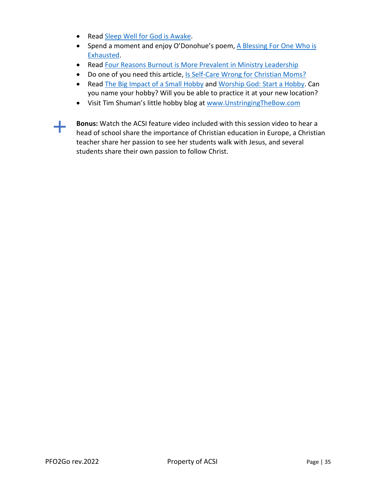- Read [Sleep Well for God is Awake.](https://ftc.co/resource-library/blog-entries/sleep-well-for-god-is-awake/)
- Spend a moment and enjoy O'Donohue's poem, [A Blessing For One Who is](https://onbeing.org/blog/john-odonohue-for-one-who-is-exhausted-a-blessing/)  [Exhausted.](https://onbeing.org/blog/john-odonohue-for-one-who-is-exhausted-a-blessing/)
- Read [Four Reasons Burnout is More Prevalent in Ministry Leadership](https://ericgeiger.com/2015/12/four-reasons-burnout-is-more-prevalent-in-ministry-leadership/)
- Do one of you need this article[, Is Self-Care Wrong for Christian Moms?](https://www.jenoshman.com/jen-oshman-blog/2019/7/16/is-self-care-wrong-for-christian-moms)
- Read [The Big Impact of a Small Hobby](https://www.nytimes.com/2020/05/01/well/mind/coronavirus-health-benefits-drawing-art-hobbies.html) and [Worship God: Start a Hobby.](https://www.christianitytoday.com/ct/2020/january-web-only/work-sabbath-worship-god-start-hobby.html) Can you name your hobby? Will you be able to practice it at your new location?
- Visit Tim Shuman's little hobby blog at [www.UnstringingTheBow.com](http://www.unstringingthebow.com/)
- 

**Bonus:** Watch the ACSI feature video included with this session video to hear a head of school share the importance of Christian education in Europe, a Christian teacher share her passion to see her students walk with Jesus, and several students share their own passion to follow Christ.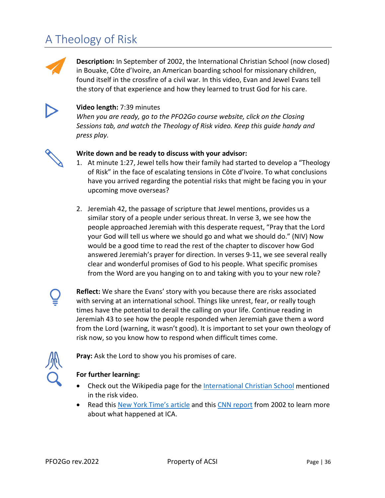# A Theology of Risk



**Description:** In September of 2002, the International Christian School (now closed) in Bouake, Côte d'Ivoire, an American boarding school for missionary children, found itself in the crossfire of a civil war. In this video, Evan and Jewel Evans tell the story of that experience and how they learned to trust God for his care.



### **Video length:** 7:39 minutes

*When you are ready, go to the PFO2Go course website, click on the Closing Sessions tab, and watch the Theology of Risk video. Keep this guide handy and press play.*



### **Write down and be ready to discuss with your advisor:**

- 1. At minute 1:27, Jewel tells how their family had started to develop a "Theology of Risk" in the face of escalating tensions in Côte d'Ivoire. To what conclusions have you arrived regarding the potential risks that might be facing you in your upcoming move overseas?
- 2. Jeremiah 42, the passage of scripture that Jewel mentions, provides us a similar story of a people under serious threat. In verse 3, we see how the people approached Jeremiah with this desperate request, "Pray that the Lord your God will tell us where we should go and what we should do." (NIV) Now would be a good time to read the rest of the chapter to discover how God answered Jeremiah's prayer for direction. In verses 9-11, we see several really clear and wonderful promises of God to his people. What specific promises from the Word are you hanging on to and taking with you to your new role?

**Reflect:** We share the Evans' story with you because there are risks associated with serving at an international school. Things like unrest, fear, or really tough times have the potential to derail the calling on your life. Continue reading in Jeremiah 43 to see how the people responded when Jeremiah gave them a word from the Lord (warning, it wasn't good). It is important to set your own theology of risk now, so you know how to respond when difficult times come.



**Pray:** Ask the Lord to show you his promises of care.

- Check out the Wikipedia page for the **International Christian School** mentioned in the risk video.
- Read this [New York Time's article](https://www.nytimes.com/2002/09/25/international/africa/children-evacuated-from-ivory-coast-school-by-french.html) and this [CNN report](https://www.cnn.com/2002/WORLD/africa/09/25/ivory.coast/) from 2002 to learn more about what happened at ICA.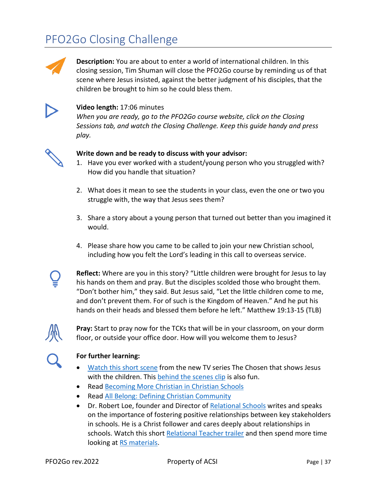# PFO2Go Closing Challenge



**Description:** You are about to enter a world of international children. In this closing session, Tim Shuman will close the PFO2Go course by reminding us of that scene where Jesus insisted, against the better judgment of his disciples, that the children be brought to him so he could bless them.



### **Video length:** 17:06 minutes

*When you are ready, go to the PFO2Go course website, click on the Closing Sessions tab, and watch the Closing Challenge. Keep this guide handy and press play.*



#### **Write down and be ready to discuss with your advisor:**

- 1. Have you ever worked with a student/young person who you struggled with? How did you handle that situation?
- 2. What does it mean to see the students in your class, even the one or two you struggle with, the way that Jesus sees them?
- 3. Share a story about a young person that turned out better than you imagined it would.
- 4. Please share how you came to be called to join your new Christian school, including how you felt the Lord's leading in this call to overseas service.

**Reflect:** Where are you in this story? "Little children were brought for Jesus to lay his hands on them and pray. But the disciples scolded those who brought them. "Don't bother him," they said. But Jesus said, "Let the little children come to me, and don't prevent them. For of such is the Kingdom of Heaven." And he put his hands on their heads and blessed them before he left." Matthew 19:13-15 (TLB)



**Pray:** Start to pray now for the TCKs that will be in your classroom, on your dorm floor, or outside your office door. How will you welcome them to Jesus?

- [Watch this short scene](https://www.youtube.com/watch?v=GvOpb1sxx8Q) from the new TV series The Chosen that shows Jesus with the children. Thi[s behind the scenes clip](https://www.youtube.com/watch?v=OiwQ6Gc80nY) is also fun.
- Read [Becoming More Christian in Christian Schools](https://blog.acsi.org/spiritual-practices)
- Read [All Belong: Defining Christian Community](https://blog.acsi.org/defining-christian-communities)
- Dr. Robert Loe, founder and Director of [Relational Schools](https://relationalschools.org/) writes and speaks on the importance of fostering positive relationships between key stakeholders in schools. He is a Christ follower and cares deeply about relationships in schools. Watch this shor[t Relational Teacher trailer](https://www.youtube.com/watch?v=-fgkmk5kEzs) and then spend more time looking at [RS materials.](https://www.youtube.com/user/RelationalSchools)